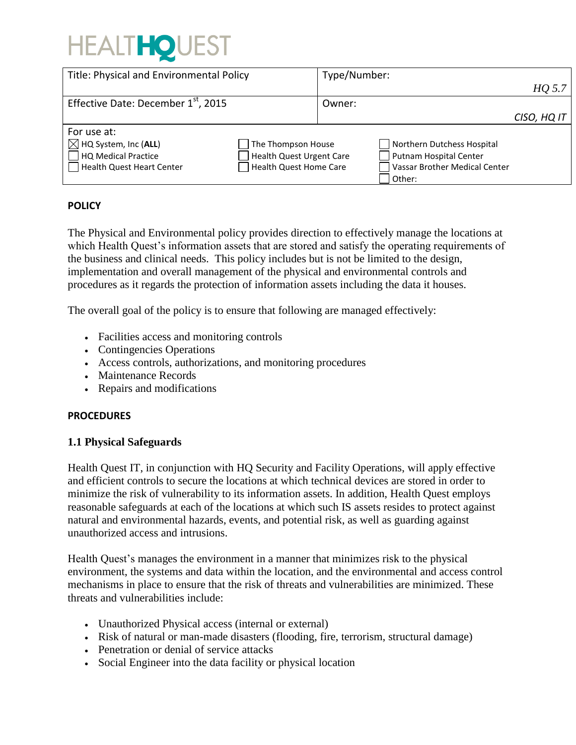# **HEALTHOUEST**

| Title: Physical and Environmental Policy        |                          | Type/Number: |                               |             |
|-------------------------------------------------|--------------------------|--------------|-------------------------------|-------------|
|                                                 |                          |              |                               | HQ 5.7      |
| Effective Date: December 1 <sup>st</sup> , 2015 |                          | Owner:       |                               |             |
|                                                 |                          |              |                               | CISO, HQ IT |
| For use at:                                     |                          |              |                               |             |
| $\boxtimes$ HQ System, Inc (ALL)                | The Thompson House       |              | Northern Dutchess Hospital    |             |
| HQ Medical Practice                             | Health Quest Urgent Care |              | <b>Putnam Hospital Center</b> |             |
| <b>Health Quest Heart Center</b>                | Health Quest Home Care   |              | Vassar Brother Medical Center |             |
|                                                 |                          |              | Other:                        |             |

#### **POLICY**

The Physical and Environmental policy provides direction to effectively manage the locations at which Health Quest's information assets that are stored and satisfy the operating requirements of the business and clinical needs. This policy includes but is not be limited to the design, implementation and overall management of the physical and environmental controls and procedures as it regards the protection of information assets including the data it houses.

The overall goal of the policy is to ensure that following are managed effectively:

- Facilities access and monitoring controls
- Contingencies Operations
- Access controls, authorizations, and monitoring procedures
- Maintenance Records
- Repairs and modifications

#### **PROCEDURES**

#### **1.1 Physical Safeguards**

Health Quest IT, in conjunction with HQ Security and Facility Operations, will apply effective and efficient controls to secure the locations at which technical devices are stored in order to minimize the risk of vulnerability to its information assets. In addition, Health Quest employs reasonable safeguards at each of the locations at which such IS assets resides to protect against natural and environmental hazards, events, and potential risk, as well as guarding against unauthorized access and intrusions.

Health Quest's manages the environment in a manner that minimizes risk to the physical environment, the systems and data within the location, and the environmental and access control mechanisms in place to ensure that the risk of threats and vulnerabilities are minimized. These threats and vulnerabilities include:

- Unauthorized Physical access (internal or external)
- Risk of natural or man-made disasters (flooding, fire, terrorism, structural damage)
- Penetration or denial of service attacks
- Social Engineer into the data facility or physical location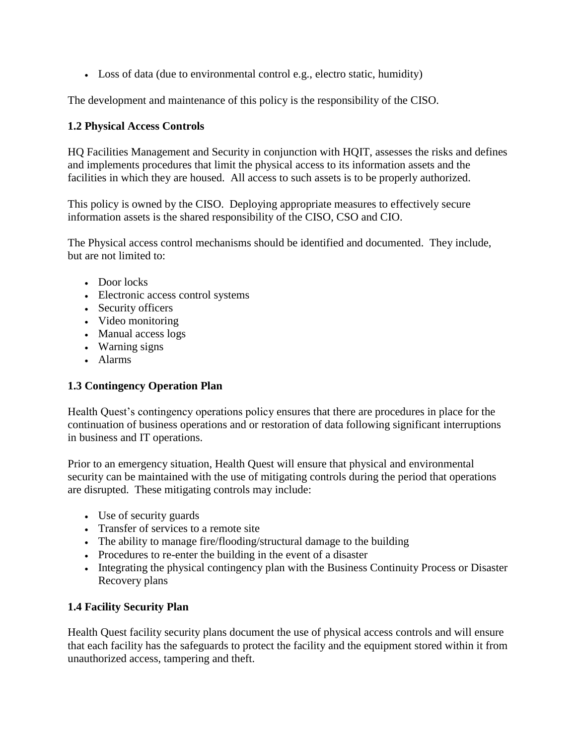Loss of data (due to environmental control e.g., electro static, humidity)

The development and maintenance of this policy is the responsibility of the CISO.

#### **1.2 Physical Access Controls**

HQ Facilities Management and Security in conjunction with HQIT, assesses the risks and defines and implements procedures that limit the physical access to its information assets and the facilities in which they are housed. All access to such assets is to be properly authorized.

This policy is owned by the CISO. Deploying appropriate measures to effectively secure information assets is the shared responsibility of the CISO, CSO and CIO.

The Physical access control mechanisms should be identified and documented. They include, but are not limited to:

- Door locks
- Electronic access control systems
- Security officers
- Video monitoring
- Manual access logs
- Warning signs
- Alarms

## **1.3 Contingency Operation Plan**

Health Quest's contingency operations policy ensures that there are procedures in place for the continuation of business operations and or restoration of data following significant interruptions in business and IT operations.

Prior to an emergency situation, Health Quest will ensure that physical and environmental security can be maintained with the use of mitigating controls during the period that operations are disrupted. These mitigating controls may include:

- Use of security guards
- Transfer of services to a remote site
- The ability to manage fire/flooding/structural damage to the building
- Procedures to re-enter the building in the event of a disaster
- Integrating the physical contingency plan with the Business Continuity Process or Disaster Recovery plans

## **1.4 Facility Security Plan**

Health Quest facility security plans document the use of physical access controls and will ensure that each facility has the safeguards to protect the facility and the equipment stored within it from unauthorized access, tampering and theft.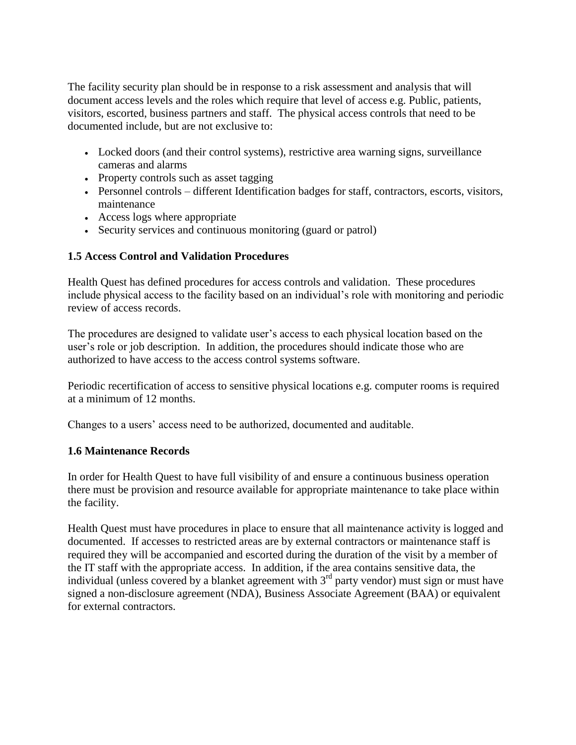The facility security plan should be in response to a risk assessment and analysis that will document access levels and the roles which require that level of access e.g. Public, patients, visitors, escorted, business partners and staff. The physical access controls that need to be documented include, but are not exclusive to:

- Locked doors (and their control systems), restrictive area warning signs, surveillance cameras and alarms
- Property controls such as asset tagging
- Personnel controls different Identification badges for staff, contractors, escorts, visitors, maintenance
- Access logs where appropriate
- Security services and continuous monitoring (guard or patrol)

## **1.5 Access Control and Validation Procedures**

Health Quest has defined procedures for access controls and validation. These procedures include physical access to the facility based on an individual's role with monitoring and periodic review of access records.

The procedures are designed to validate user's access to each physical location based on the user's role or job description. In addition, the procedures should indicate those who are authorized to have access to the access control systems software.

Periodic recertification of access to sensitive physical locations e.g. computer rooms is required at a minimum of 12 months.

Changes to a users' access need to be authorized, documented and auditable.

## **1.6 Maintenance Records**

In order for Health Quest to have full visibility of and ensure a continuous business operation there must be provision and resource available for appropriate maintenance to take place within the facility.

Health Quest must have procedures in place to ensure that all maintenance activity is logged and documented. If accesses to restricted areas are by external contractors or maintenance staff is required they will be accompanied and escorted during the duration of the visit by a member of the IT staff with the appropriate access. In addition, if the area contains sensitive data, the individual (unless covered by a blanket agreement with  $3<sup>rd</sup>$  party vendor) must sign or must have signed a non-disclosure agreement (NDA), Business Associate Agreement (BAA) or equivalent for external contractors.